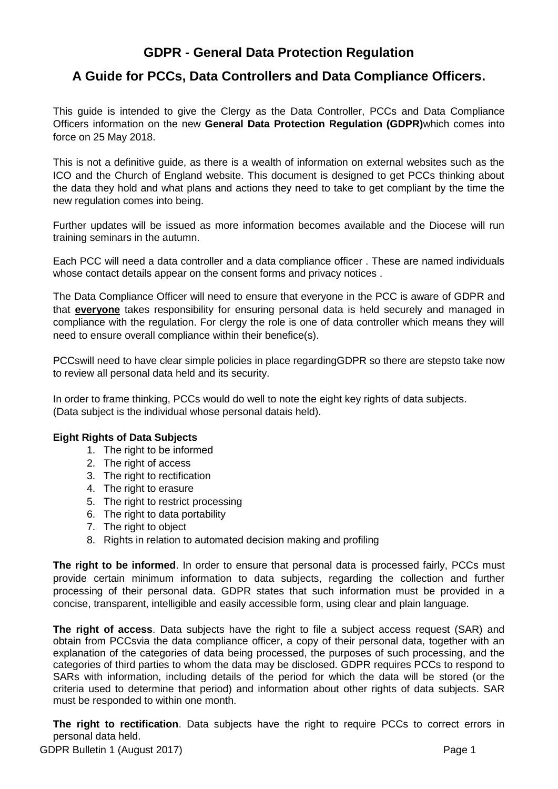# **GDPR - General Data Protection Regulation**

# **A Guide for PCCs, Data Controllers and Data Compliance Officers.**

This guide is intended to give the Clergy as the Data Controller, PCCs and Data Compliance Officers information on the new **General Data Protection Regulation (GDPR)**which comes into force on 25 May 2018.

This is not a definitive guide, as there is a wealth of information on external websites such as the ICO and the Church of England website. This document is designed to get PCCs thinking about the data they hold and what plans and actions they need to take to get compliant by the time the new regulation comes into being.

Further updates will be issued as more information becomes available and the Diocese will run training seminars in the autumn.

Each PCC will need a data controller and a data compliance officer . These are named individuals whose contact details appear on the consent forms and privacy notices.

The Data Compliance Officer will need to ensure that everyone in the PCC is aware of GDPR and that **everyone** takes responsibility for ensuring personal data is held securely and managed in compliance with the regulation. For clergy the role is one of data controller which means they will need to ensure overall compliance within their benefice(s).

PCCswill need to have clear simple policies in place regardingGDPR so there are stepsto take now to review all personal data held and its security.

In order to frame thinking, PCCs would do well to note the eight key rights of data subjects. (Data subject is the individual whose personal datais held).

# **Eight Rights of Data Subjects**

- 1. The right to be informed
- 2. The right of access
- 3. The right to rectification
- 4. The right to erasure
- 5. The right to restrict processing
- 6. The right to data portability
- 7. The right to object
- 8. Rights in relation to automated decision making and profiling

**The right to be informed**. In order to ensure that personal data is processed fairly, PCCs must provide certain minimum information to data subjects, regarding the collection and further processing of their personal data. GDPR states that such information must be provided in a concise, transparent, intelligible and easily accessible form, using clear and plain language.

**The right of access**. Data subjects have the right to file a subject access request (SAR) and obtain from PCCsvia the data compliance officer, a copy of their personal data, together with an explanation of the categories of data being processed, the purposes of such processing, and the categories of third parties to whom the data may be disclosed. GDPR requires PCCs to respond to SARs with information, including details of the period for which the data will be stored (or the criteria used to determine that period) and information about other rights of data subjects. SAR must be responded to within one month.

**The right to rectification**. Data subjects have the right to require PCCs to correct errors in personal data held.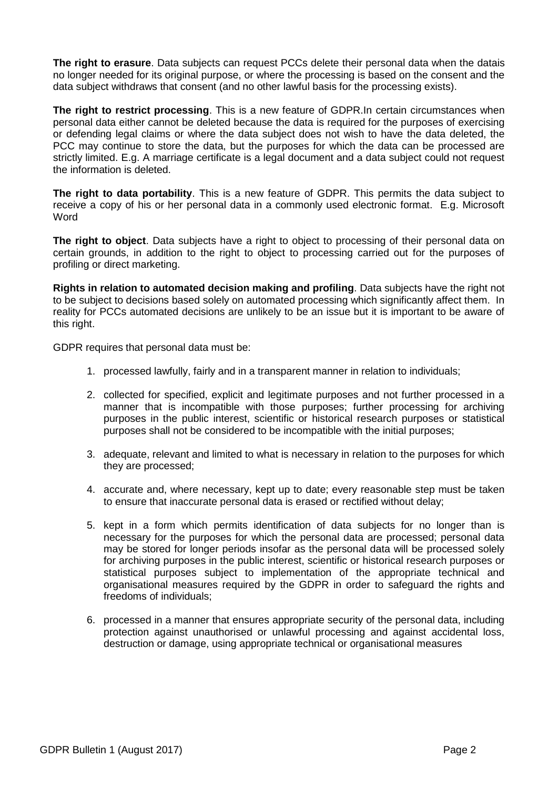**The right to erasure**. Data subjects can request PCCs delete their personal data when the datais no longer needed for its original purpose, or where the processing is based on the consent and the data subject withdraws that consent (and no other lawful basis for the processing exists).

**The right to restrict processing**. This is a new feature of GDPR.In certain circumstances when personal data either cannot be deleted because the data is required for the purposes of exercising or defending legal claims or where the data subject does not wish to have the data deleted, the PCC may continue to store the data, but the purposes for which the data can be processed are strictly limited. E.g. A marriage certificate is a legal document and a data subject could not request the information is deleted.

**The right to data portability**. This is a new feature of GDPR. This permits the data subject to receive a copy of his or her personal data in a commonly used electronic format. E.g. Microsoft **Word** 

**The right to object**. Data subjects have a right to object to processing of their personal data on certain grounds, in addition to the right to object to processing carried out for the purposes of profiling or direct marketing.

**Rights in relation to automated decision making and profiling**. Data subjects have the right not to be subject to decisions based solely on automated processing which significantly affect them. In reality for PCCs automated decisions are unlikely to be an issue but it is important to be aware of this right.

GDPR requires that personal data must be:

- 1. processed lawfully, fairly and in a transparent manner in relation to individuals;
- 2. collected for specified, explicit and legitimate purposes and not further processed in a manner that is incompatible with those purposes; further processing for archiving purposes in the public interest, scientific or historical research purposes or statistical purposes shall not be considered to be incompatible with the initial purposes;
- 3. adequate, relevant and limited to what is necessary in relation to the purposes for which they are processed;
- 4. accurate and, where necessary, kept up to date; every reasonable step must be taken to ensure that inaccurate personal data is erased or rectified without delay;
- 5. kept in a form which permits identification of data subjects for no longer than is necessary for the purposes for which the personal data are processed; personal data may be stored for longer periods insofar as the personal data will be processed solely for archiving purposes in the public interest, scientific or historical research purposes or statistical purposes subject to implementation of the appropriate technical and organisational measures required by the GDPR in order to safeguard the rights and freedoms of individuals;
- 6. processed in a manner that ensures appropriate security of the personal data, including protection against unauthorised or unlawful processing and against accidental loss, destruction or damage, using appropriate technical or organisational measures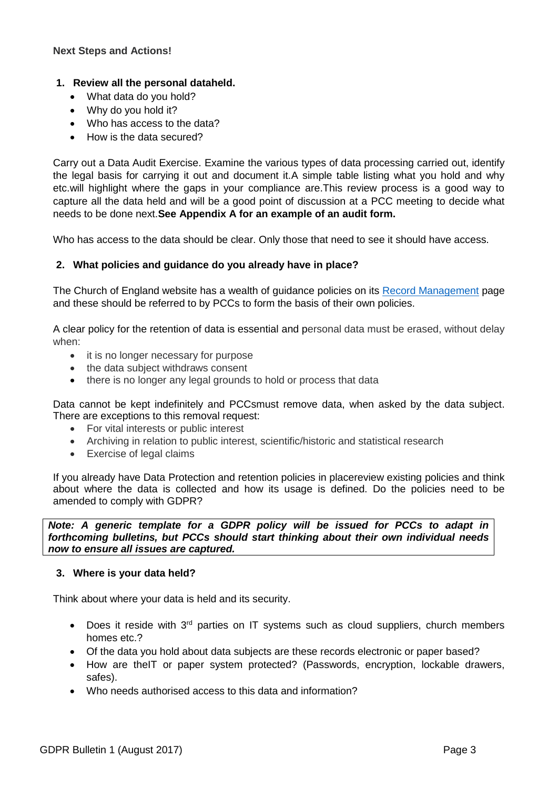# **1. Review all the personal dataheld.**

- What data do you hold?
- Why do you hold it?
- Who has access to the data?
- How is the data secured?

Carry out a Data Audit Exercise. Examine the various types of data processing carried out, identify the legal basis for carrying it out and document it.A simple table listing what you hold and why etc.will highlight where the gaps in your compliance are.This review process is a good way to capture all the data held and will be a good point of discussion at a PCC meeting to decide what needs to be done next.**See Appendix A for an example of an audit form.**

Who has access to the data should be clear. Only those that need to see it should have access.

# **2. What policies and guidance do you already have in place?**

The Church of England website has a wealth of guidance policies on its [Record Management](https://www.churchofengland.org/about-us/structure/churchcommissioners/administration/librariesandarchives/recordsmanagementguides.aspx) page and these should be referred to by PCCs to form the basis of their own policies.

A clear policy for the retention of data is essential and personal data must be erased, without delay when:

- it is no longer necessary for purpose
- the data subject withdraws consent
- there is no longer any legal grounds to hold or process that data

Data cannot be kept indefinitely and PCCsmust remove data, when asked by the data subject. There are exceptions to this removal request:

- For vital interests or public interest
- Archiving in relation to public interest, scientific/historic and statistical research
- Exercise of legal claims

If you already have Data Protection and retention policies in placereview existing policies and think about where the data is collected and how its usage is defined. Do the policies need to be amended to comply with GDPR?

*Note: A generic template for a GDPR policy will be issued for PCCs to adapt in forthcoming bulletins, but PCCs should start thinking about their own individual needs now to ensure all issues are captured.*

# **3. Where is your data held?**

Think about where your data is held and its security.

- $\bullet$  Does it reside with 3<sup>rd</sup> parties on IT systems such as cloud suppliers, church members homes etc.?
- Of the data you hold about data subjects are these records electronic or paper based?
- How are theIT or paper system protected? (Passwords, encryption, lockable drawers, safes).
- Who needs authorised access to this data and information?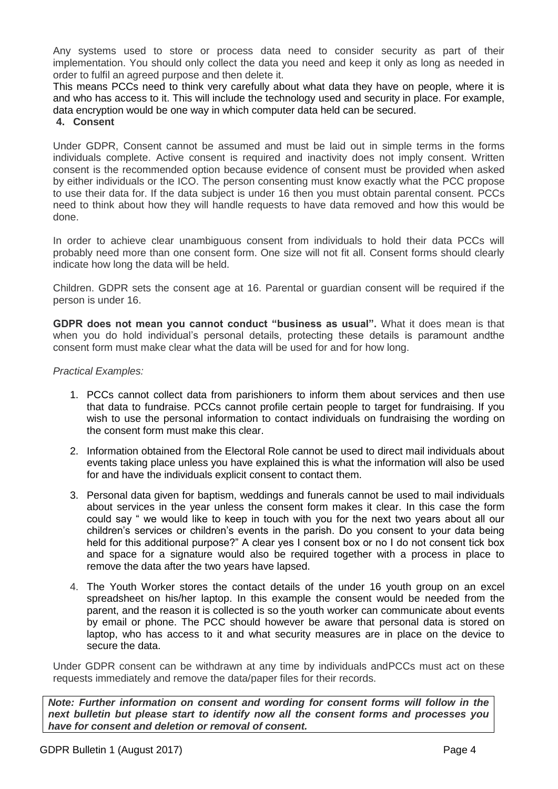Any systems used to store or process data need to consider security as part of their implementation. You should only collect the data you need and keep it only as long as needed in order to fulfil an agreed purpose and then delete it.

This means PCCs need to think very carefully about what data they have on people, where it is and who has access to it. This will include the technology used and security in place. For example, data encryption would be one way in which computer data held can be secured.

#### **4. Consent**

Under GDPR, Consent cannot be assumed and must be laid out in simple terms in the forms individuals complete. Active consent is required and inactivity does not imply consent. Written consent is the recommended option because evidence of consent must be provided when asked by either individuals or the ICO. The person consenting must know exactly what the PCC propose to use their data for. If the data subject is under 16 then you must obtain parental consent. PCCs need to think about how they will handle requests to have data removed and how this would be done.

In order to achieve clear unambiguous consent from individuals to hold their data PCCs will probably need more than one consent form. One size will not fit all. Consent forms should clearly indicate how long the data will be held.

Children. GDPR sets the consent age at 16. Parental or guardian consent will be required if the person is under 16.

**GDPR does not mean you cannot conduct "business as usual".** What it does mean is that when you do hold individual's personal details, protecting these details is paramount andthe consent form must make clear what the data will be used for and for how long.

#### *Practical Examples:*

- 1. PCCs cannot collect data from parishioners to inform them about services and then use that data to fundraise. PCCs cannot profile certain people to target for fundraising. If you wish to use the personal information to contact individuals on fundraising the wording on the consent form must make this clear.
- 2. Information obtained from the Electoral Role cannot be used to direct mail individuals about events taking place unless you have explained this is what the information will also be used for and have the individuals explicit consent to contact them.
- 3. Personal data given for baptism, weddings and funerals cannot be used to mail individuals about services in the year unless the consent form makes it clear. In this case the form could say " we would like to keep in touch with you for the next two years about all our children's services or children's events in the parish. Do you consent to your data being held for this additional purpose?" A clear yes I consent box or no I do not consent tick box and space for a signature would also be required together with a process in place to remove the data after the two years have lapsed.
- 4. The Youth Worker stores the contact details of the under 16 youth group on an excel spreadsheet on his/her laptop. In this example the consent would be needed from the parent, and the reason it is collected is so the youth worker can communicate about events by email or phone. The PCC should however be aware that personal data is stored on laptop, who has access to it and what security measures are in place on the device to secure the data.

Under GDPR consent can be withdrawn at any time by individuals andPCCs must act on these requests immediately and remove the data/paper files for their records.

*Note: Further information on consent and wording for consent forms will follow in the next bulletin but please start to identify now all the consent forms and processes you have for consent and deletion or removal of consent.*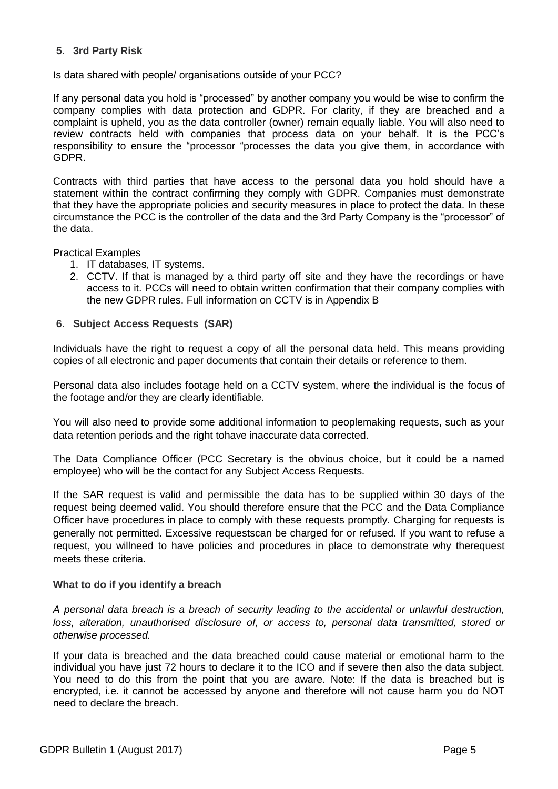# **5. 3rd Party Risk**

Is data shared with people/ organisations outside of your PCC?

If any personal data you hold is "processed" by another company you would be wise to confirm the company complies with data protection and GDPR. For clarity, if they are breached and a complaint is upheld, you as the data controller (owner) remain equally liable. You will also need to review contracts held with companies that process data on your behalf. It is the PCC's responsibility to ensure the "processor "processes the data you give them, in accordance with GDPR.

Contracts with third parties that have access to the personal data you hold should have a statement within the contract confirming they comply with GDPR. Companies must demonstrate that they have the appropriate policies and security measures in place to protect the data. In these circumstance the PCC is the controller of the data and the 3rd Party Company is the "processor" of the data.

Practical Examples

- 1. IT databases, IT systems.
- 2. CCTV. If that is managed by a third party off site and they have the recordings or have access to it. PCCs will need to obtain written confirmation that their company complies with the new GDPR rules. Full information on CCTV is in Appendix B

#### **6. Subject Access Requests (SAR)**

Individuals have the right to request a copy of all the personal data held. This means providing copies of all electronic and paper documents that contain their details or reference to them.

Personal data also includes footage held on a CCTV system, where the individual is the focus of the footage and/or they are clearly identifiable.

You will also need to provide some additional information to peoplemaking requests, such as your data retention periods and the right tohave inaccurate data corrected.

The Data Compliance Officer (PCC Secretary is the obvious choice, but it could be a named employee) who will be the contact for any Subject Access Requests.

If the SAR request is valid and permissible the data has to be supplied within 30 days of the request being deemed valid. You should therefore ensure that the PCC and the Data Compliance Officer have procedures in place to comply with these requests promptly. Charging for requests is generally not permitted. Excessive requestscan be charged for or refused. If you want to refuse a request, you willneed to have policies and procedures in place to demonstrate why therequest meets these criteria.

#### **What to do if you identify a breach**

*A personal data breach is a breach of security leading to the accidental or unlawful destruction,*  loss, alteration, unauthorised disclosure of, or access to, personal data transmitted, stored or *otherwise processed.*

If your data is breached and the data breached could cause material or emotional harm to the individual you have just 72 hours to declare it to the ICO and if severe then also the data subject. You need to do this from the point that you are aware. Note: If the data is breached but is encrypted, i.e. it cannot be accessed by anyone and therefore will not cause harm you do NOT need to declare the breach.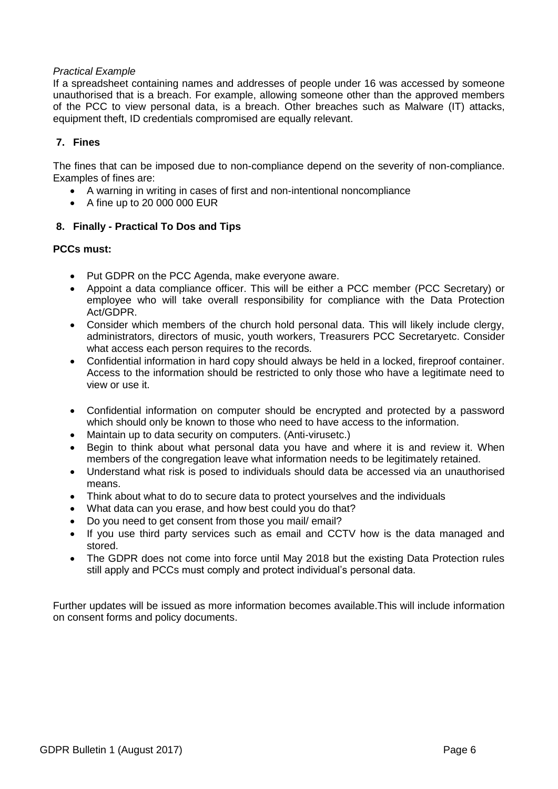#### *Practical Example*

If a spreadsheet containing names and addresses of people under 16 was accessed by someone unauthorised that is a breach. For example, allowing someone other than the approved members of the PCC to view personal data, is a breach. Other breaches such as Malware (IT) attacks, equipment theft, ID credentials compromised are equally relevant.

# **7. Fines**

The fines that can be imposed due to non-compliance depend on the severity of non-compliance. Examples of fines are:

- A warning in writing in cases of first and non-intentional noncompliance
- $\bullet$  A fine up to 20 000 000 EUR

# **8. Finally - Practical To Dos and Tips**

# **PCCs must:**

- Put GDPR on the PCC Agenda, make everyone aware.
- Appoint a data compliance officer. This will be either a PCC member (PCC Secretary) or employee who will take overall responsibility for compliance with the Data Protection Act/GDPR.
- Consider which members of the church hold personal data. This will likely include clergy, administrators, directors of music, youth workers, Treasurers PCC Secretaryetc. Consider what access each person requires to the records.
- Confidential information in hard copy should always be held in a locked, fireproof container. Access to the information should be restricted to only those who have a legitimate need to view or use it.
- Confidential information on computer should be encrypted and protected by a password which should only be known to those who need to have access to the information.
- Maintain up to data security on computers. (Anti-virusetc.)
- Begin to think about what personal data you have and where it is and review it. When members of the congregation leave what information needs to be legitimately retained.
- Understand what risk is posed to individuals should data be accessed via an unauthorised means.
- Think about what to do to secure data to protect yourselves and the individuals
- What data can you erase, and how best could you do that?
- Do you need to get consent from those you mail/ email?
- If you use third party services such as email and CCTV how is the data managed and stored.
- The GDPR does not come into force until May 2018 but the existing Data Protection rules still apply and PCCs must comply and protect individual's personal data.

Further updates will be issued as more information becomes available.This will include information on consent forms and policy documents.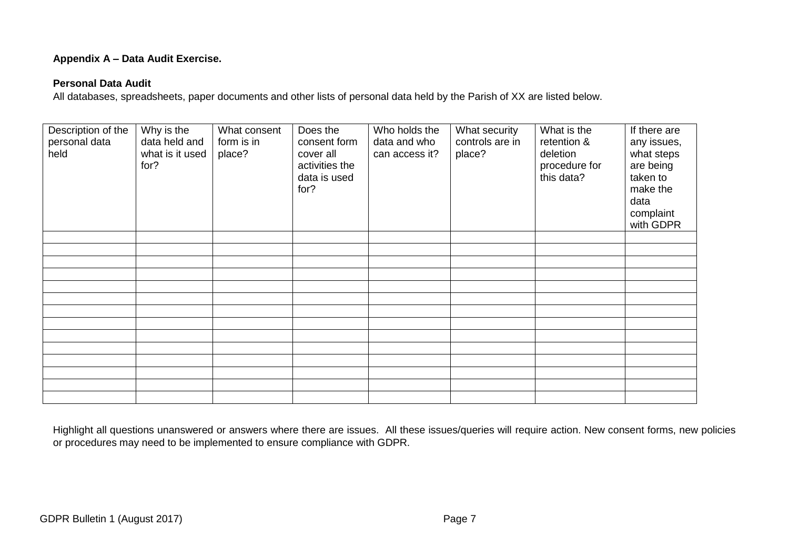# **Appendix A – Data Audit Exercise.**

# **Personal Data Audit**

All databases, spreadsheets, paper documents and other lists of personal data held by the Parish of XX are listed below.

| Description of the<br>personal data<br>held | Why is the<br>data held and<br>what is it used<br>for? | What consent<br>form is in<br>place? | Does the<br>consent form<br>cover all<br>activities the<br>data is used<br>for? | Who holds the<br>data and who<br>can access it? | What security<br>controls are in<br>place? | What is the<br>retention &<br>deletion<br>procedure for<br>this data? | If there are<br>any issues,<br>what steps<br>are being<br>taken to<br>make the<br>data<br>complaint<br>with GDPR |
|---------------------------------------------|--------------------------------------------------------|--------------------------------------|---------------------------------------------------------------------------------|-------------------------------------------------|--------------------------------------------|-----------------------------------------------------------------------|------------------------------------------------------------------------------------------------------------------|
|                                             |                                                        |                                      |                                                                                 |                                                 |                                            |                                                                       |                                                                                                                  |
|                                             |                                                        |                                      |                                                                                 |                                                 |                                            |                                                                       |                                                                                                                  |
|                                             |                                                        |                                      |                                                                                 |                                                 |                                            |                                                                       |                                                                                                                  |
|                                             |                                                        |                                      |                                                                                 |                                                 |                                            |                                                                       |                                                                                                                  |
|                                             |                                                        |                                      |                                                                                 |                                                 |                                            |                                                                       |                                                                                                                  |
|                                             |                                                        |                                      |                                                                                 |                                                 |                                            |                                                                       |                                                                                                                  |
|                                             |                                                        |                                      |                                                                                 |                                                 |                                            |                                                                       |                                                                                                                  |
|                                             |                                                        |                                      |                                                                                 |                                                 |                                            |                                                                       |                                                                                                                  |
|                                             |                                                        |                                      |                                                                                 |                                                 |                                            |                                                                       |                                                                                                                  |
|                                             |                                                        |                                      |                                                                                 |                                                 |                                            |                                                                       |                                                                                                                  |
|                                             |                                                        |                                      |                                                                                 |                                                 |                                            |                                                                       |                                                                                                                  |
|                                             |                                                        |                                      |                                                                                 |                                                 |                                            |                                                                       |                                                                                                                  |

Highlight all questions unanswered or answers where there are issues. All these issues/queries will require action. New consent forms, new policies or procedures may need to be implemented to ensure compliance with GDPR.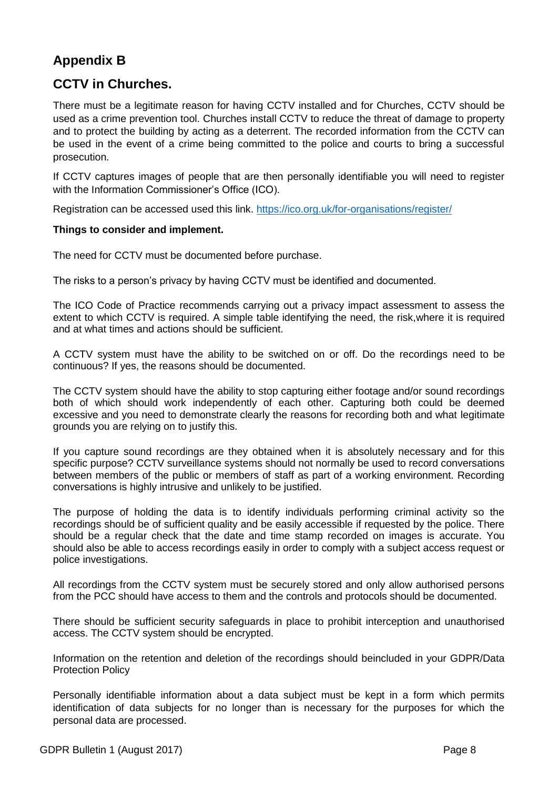# **Appendix B**

# **CCTV in Churches.**

There must be a legitimate reason for having CCTV installed and for Churches, CCTV should be used as a crime prevention tool. Churches install CCTV to reduce the threat of damage to property and to protect the building by acting as a deterrent. The recorded information from the CCTV can be used in the event of a crime being committed to the police and courts to bring a successful prosecution.

If CCTV captures images of people that are then personally identifiable you will need to register with the Information Commissioner's Office (ICO).

Registration can be accessed used this link.<https://ico.org.uk/for-organisations/register/>

#### **Things to consider and implement.**

The need for CCTV must be documented before purchase.

The risks to a person's privacy by having CCTV must be identified and documented.

The ICO Code of Practice recommends carrying out a privacy impact assessment to assess the extent to which CCTV is required. A simple table identifying the need, the risk,where it is required and at what times and actions should be sufficient.

A CCTV system must have the ability to be switched on or off. Do the recordings need to be continuous? If yes, the reasons should be documented.

The CCTV system should have the ability to stop capturing either footage and/or sound recordings both of which should work independently of each other. Capturing both could be deemed excessive and you need to demonstrate clearly the reasons for recording both and what legitimate grounds you are relying on to justify this.

If you capture sound recordings are they obtained when it is absolutely necessary and for this specific purpose? CCTV surveillance systems should not normally be used to record conversations between members of the public or members of staff as part of a working environment. Recording conversations is highly intrusive and unlikely to be justified.

The purpose of holding the data is to identify individuals performing criminal activity so the recordings should be of sufficient quality and be easily accessible if requested by the police. There should be a regular check that the date and time stamp recorded on images is accurate. You should also be able to access recordings easily in order to comply with a subject access request or police investigations.

All recordings from the CCTV system must be securely stored and only allow authorised persons from the PCC should have access to them and the controls and protocols should be documented.

There should be sufficient security safeguards in place to prohibit interception and unauthorised access. The CCTV system should be encrypted.

Information on the retention and deletion of the recordings should beincluded in your GDPR/Data Protection Policy

Personally identifiable information about a data subject must be kept in a form which permits identification of data subjects for no longer than is necessary for the purposes for which the personal data are processed.